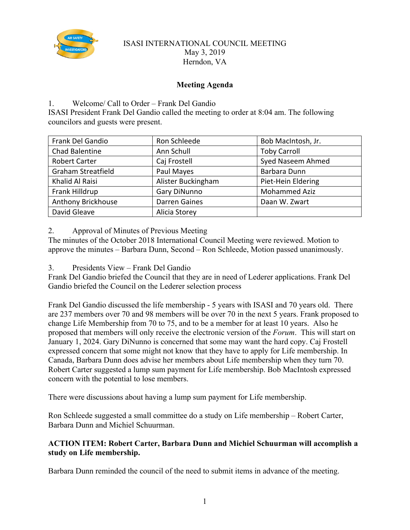

## ISASI INTERNATIONAL COUNCIL MEETING May 3, 2019 Herndon, VA

# **Meeting Agenda**

# 1. Welcome/ Call to Order – Frank Del Gandio

ISASI President Frank Del Gandio called the meeting to order at 8:04 am. The following councilors and guests were present.

| Frank Del Gandio          | Ron Schleede         | Bob MacIntosh, Jr.   |
|---------------------------|----------------------|----------------------|
| Chad Balentine            | Ann Schull           | <b>Toby Carroll</b>  |
| <b>Robert Carter</b>      | Caj Frostell         | Syed Naseem Ahmed    |
| <b>Graham Streatfield</b> | Paul Mayes           | Barbara Dunn         |
| Khalid Al Raisi           | Alister Buckingham   | Piet-Hein Eldering   |
| Frank Hilldrup            | Gary DiNunno         | <b>Mohammed Aziz</b> |
| Anthony Brickhouse        | <b>Darren Gaines</b> | Daan W. Zwart        |
| David Gleave              | Alicia Storey        |                      |

2. Approval of Minutes of Previous Meeting

The minutes of the October 2018 International Council Meeting were reviewed. Motion to approve the minutes – Barbara Dunn, Second – Ron Schleede, Motion passed unanimously.

3. Presidents View – Frank Del Gandio

Frank Del Gandio briefed the Council that they are in need of Lederer applications. Frank Del Gandio briefed the Council on the Lederer selection process

Frank Del Gandio discussed the life membership - 5 years with ISASI and 70 years old. There are 237 members over 70 and 98 members will be over 70 in the next 5 years. Frank proposed to change Life Membership from 70 to 75, and to be a member for at least 10 years. Also he proposed that members will only receive the electronic version of the *Forum*. This will start on January 1, 2024. Gary DiNunno is concerned that some may want the hard copy. Caj Frostell expressed concern that some might not know that they have to apply for Life membership. In Canada, Barbara Dunn does advise her members about Life membership when they turn 70. Robert Carter suggested a lump sum payment for Life membership. Bob MacIntosh expressed concern with the potential to lose members.

There were discussions about having a lump sum payment for Life membership.

Ron Schleede suggested a small committee do a study on Life membership – Robert Carter, Barbara Dunn and Michiel Schuurman.

# **ACTION ITEM: Robert Carter, Barbara Dunn and Michiel Schuurman will accomplish a study on Life membership.**

Barbara Dunn reminded the council of the need to submit items in advance of the meeting.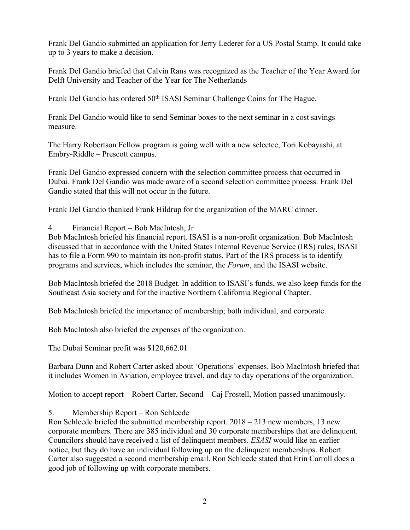Frank Del Gandio submitted an application for Jerry Lederer for a US Postal Stamp. It could take up to 3 years to make a decision.

Frank Del Gandio briefed that Calvin Rans was recognized as the Teacher of the Year Award for Delft University and Teacher of the Year for The Netherlands

Frank Del Gandio has ordered 50<sup>th</sup> ISASI Seminar Challenge Coins for The Hague.

Frank Del Gandio would like to send Seminar boxes to the next seminar in a cost savings measure.

The Harry Robertson Fellow program is going well with a new selectee, Tori Kobayashi, at Embry-Riddle – Prescott campus.

Frank Del Gandio expressed concern with the selection committee process that occurred in Dubai. Frank Del Gandio was made aware of a second selection committee process. Frank Del Gandio stated that this will not occur in the future.

Frank Del Gandio thanked Frank Hildrup for the organization of the MARC dinner.

4. Financial Report – Bob MacIntosh, Jr

Bob MacIntosh briefed his financial report. ISASI is a non-profit organization. Bob MacIntosh discussed that in accordance with the United States Internal Revenue Service (IRS) rules, ISASI has to file a Form 990 to maintain its non-profit status. Part of the IRS process is to identify programs and services, which includes the seminar, the *Forum*, and the ISASI website.

Bob MacIntosh briefed the 2018 Budget. In addition to ISASI's funds, we also keep funds for the Southeast Asia society and for the inactive Northern California Regional Chapter.

Bob MacIntosh briefed the importance of membership; both individual, and corporate.

Bob MacIntosh also briefed the expenses of the organization.

The Dubai Seminar profit was \$120,662.01

Barbara Dunn and Robert Carter asked about 'Operations' expenses. Bob MacIntosh briefed that it includes Women in Aviation, employee travel, and day to day operations of the organization.

Motion to accept report – Robert Carter, Second – Caj Frostell, Motion passed unanimously.

5. Membership Report – Ron Schleede

Ron Schleede briefed the submitted membership report. 2018 – 213 new members, 13 new corporate members. There are 385 individual and 30 corporate memberships that are delinquent. Councilors should have received a list of delinquent members. *ESASI* would like an earlier notice, but they do have an individual following up on the delinquent memberships. Robert Carter also suggested a second membership email. Ron Schleede stated that Erin Carroll does a good job of following up with corporate members.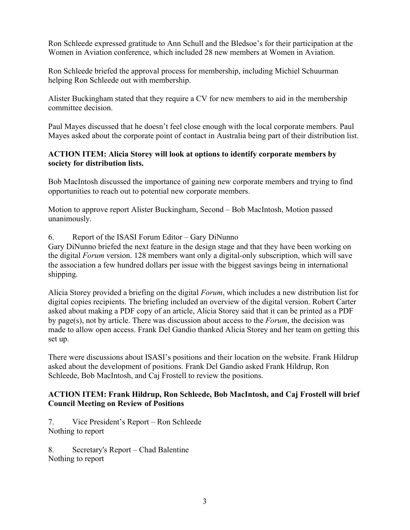Ron Schleede expressed gratitude to Ann Schull and the Bledsoe's for their participation at the Women in Aviation conference, which included 28 new members at Women in Aviation.

Ron Schleede briefed the approval process for membership, including Michiel Schuurman helping Ron Schleede out with membership.

Alister Buckingham stated that they require a CV for new members to aid in the membership committee decision.

Paul Mayes discussed that he doesn't feel close enough with the local corporate members. Paul Mayes asked about the corporate point of contact in Australia being part of their distribution list.

# **ACTION ITEM: Alicia Storey will look at options to identify corporate members by society for distribution lists.**

Bob MacIntosh discussed the importance of gaining new corporate members and trying to find opportunities to reach out to potential new corporate members.

Motion to approve report Alister Buckingham, Second – Bob MacIntosh, Motion passed unanimously.

6. Report of the ISASI Forum Editor – Gary DiNunno

Gary DiNunno briefed the next feature in the design stage and that they have been working on the digital *Forum* version. 128 members want only a digital-only subscription, which will save the association a few hundred dollars per issue with the biggest savings being in international shipping.

Alicia Storey provided a briefing on the digital *Forum*, which includes a new distribution list for digital copies recipients. The briefing included an overview of the digital version. Robert Carter asked about making a PDF copy of an article, Alicia Storey said that it can be printed as a PDF by page(s), not by article. There was discussion about access to the *Forum*, the decision was made to allow open access. Frank Del Gandio thanked Alicia Storey and her team on getting this set up.

There were discussions about ISASI's positions and their location on the website. Frank Hildrup asked about the development of positions. Frank Del Gandio asked Frank Hildrup, Ron Schleede, Bob MacIntosh, and Caj Frostell to review the positions.

# **ACTION ITEM: Frank Hildrup, Ron Schleede, Bob MacIntosh, and Caj Frostell will brief Council Meeting on Review of Positions**

7. Vice President's Report – Ron Schleede Nothing to report

8. Secretary's Report – Chad Balentine Nothing to report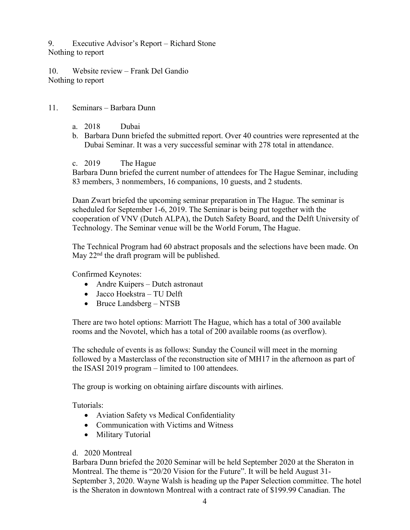9. Executive Advisor's Report – Richard Stone Nothing to report

10. Website review – Frank Del Gandio Nothing to report

### 11. Seminars – Barbara Dunn

- a. 2018 Dubai
- b. Barbara Dunn briefed the submitted report. Over 40 countries were represented at the Dubai Seminar. It was a very successful seminar with 278 total in attendance.
- c. 2019 The Hague

Barbara Dunn briefed the current number of attendees for The Hague Seminar, including 83 members, 3 nonmembers, 16 companions, 10 guests, and 2 students.

Daan Zwart briefed the upcoming seminar preparation in The Hague. The seminar is scheduled for September 1-6, 2019. The Seminar is being put together with the cooperation of VNV (Dutch ALPA), the Dutch Safety Board, and the Delft University of Technology. The Seminar venue will be the World Forum, The Hague.

The Technical Program had 60 abstract proposals and the selections have been made. On May  $22<sup>nd</sup>$  the draft program will be published.

Confirmed Keynotes:

- Andre Kuipers Dutch astronaut
- Jacco Hoekstra TU Delft
- Bruce Landsberg NTSB

There are two hotel options: Marriott The Hague, which has a total of 300 available rooms and the Novotel, which has a total of 200 available rooms (as overflow).

The schedule of events is as follows: Sunday the Council will meet in the morning followed by a Masterclass of the reconstruction site of MH17 in the afternoon as part of the ISASI 2019 program – limited to 100 attendees.

The group is working on obtaining airfare discounts with airlines.

Tutorials:

- Aviation Safety vs Medical Confidentiality
- Communication with Victims and Witness
- Military Tutorial

# d. 2020 Montreal

Barbara Dunn briefed the 2020 Seminar will be held September 2020 at the Sheraton in Montreal. The theme is "20/20 Vision for the Future". It will be held August 31- September 3, 2020. Wayne Walsh is heading up the Paper Selection committee. The hotel is the Sheraton in downtown Montreal with a contract rate of \$199.99 Canadian. The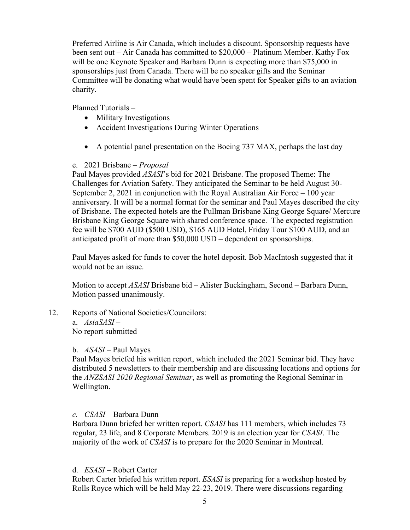Preferred Airline is Air Canada, which includes a discount. Sponsorship requests have been sent out – Air Canada has committed to \$20,000 – Platinum Member. Kathy Fox will be one Keynote Speaker and Barbara Dunn is expecting more than \$75,000 in sponsorships just from Canada. There will be no speaker gifts and the Seminar Committee will be donating what would have been spent for Speaker gifts to an aviation charity.

Planned Tutorials –

- Military Investigations
- Accident Investigations During Winter Operations
- A potential panel presentation on the Boeing 737 MAX, perhaps the last day

## e. 2021 Brisbane – *Proposal*

Paul Mayes provided *ASASI*'s bid for 2021 Brisbane. The proposed Theme: The Challenges for Aviation Safety. They anticipated the Seminar to be held August 30- September 2, 2021 in conjunction with the Royal Australian Air Force – 100 year anniversary. It will be a normal format for the seminar and Paul Mayes described the city of Brisbane. The expected hotels are the Pullman Brisbane King George Square/ Mercure Brisbane King George Square with shared conference space. The expected registration fee will be \$700 AUD (\$500 USD), \$165 AUD Hotel, Friday Tour \$100 AUD, and an anticipated profit of more than \$50,000 USD – dependent on sponsorships.

Paul Mayes asked for funds to cover the hotel deposit. Bob MacIntosh suggested that it would not be an issue.

Motion to accept *ASASI* Brisbane bid – Alister Buckingham, Second – Barbara Dunn, Motion passed unanimously.

12. Reports of National Societies/Councilors: a. *AsiaSASI –* No report submitted

### b. *ASASI –* Paul Mayes

Paul Mayes briefed his written report, which included the 2021 Seminar bid. They have distributed 5 newsletters to their membership and are discussing locations and options for the *ANZSASI 2020 Regional Seminar*, as well as promoting the Regional Seminar in Wellington.

### *c. CSASI –* Barbara Dunn

Barbara Dunn briefed her written report. *CSASI* has 111 members, which includes 73 regular, 23 life, and 8 Corporate Members. 2019 is an election year for *CSASI*. The majority of the work of *CSASI* is to prepare for the 2020 Seminar in Montreal.

### d. *ESASI –* Robert Carter

Robert Carter briefed his written report. *ESASI* is preparing for a workshop hosted by Rolls Royce which will be held May 22-23, 2019. There were discussions regarding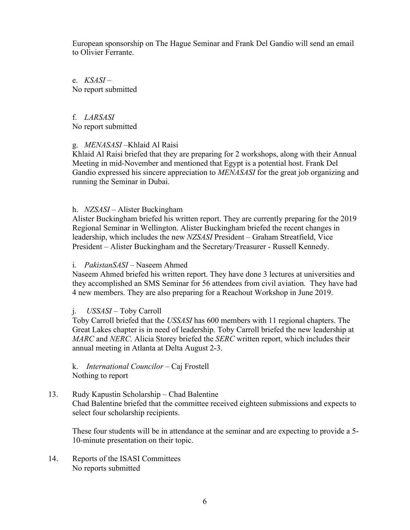European sponsorship on The Hague Seminar and Frank Del Gandio will send an email to Olivier Ferrante.

e. *KSASI* – No report submitted

f. *LARSASI* No report submitted

#### g. *MENASASI –*Khlaid Al Raisi

Khlaid Al Raisi briefed that they are preparing for 2 workshops, along with their Annual Meeting in mid-November and mentioned that Egypt is a potential host. Frank Del Gandio expressed his sincere appreciation to *MENASASI* for the great job organizing and running the Seminar in Dubai.

#### h. *NZSASI* – Alister Buckingham

Alister Buckingham briefed his written report. They are currently preparing for the 2019 Regional Seminar in Wellington. Alister Buckingham briefed the recent changes in leadership, which includes the new *NZSASI* President – Graham Streatfield, Vice President – Alister Buckingham and the Secretary/Treasurer - Russell Kennedy.

#### i. *PakistanSASI* – Naseem Ahmed

Naseem Ahmed briefed his written report. They have done 3 lectures at universities and they accomplished an SMS Seminar for 56 attendees from civil aviation. They have had 4 new members. They are also preparing for a Reachout Workshop in June 2019.

#### j. *USSASI* – Toby Carroll

Toby Carroll briefed that the *USSASI* has 600 members with 11 regional chapters. The Great Lakes chapter is in need of leadership. Toby Carroll briefed the new leadership at *MARC* and *NERC*. Alicia Storey briefed the *SERC* written report, which includes their annual meeting in Atlanta at Delta August 2-3.

k. *International Councilor –* Caj Frostell Nothing to report

### 13. Rudy Kapustin Scholarship – Chad Balentine Chad Balentine briefed that the committee received eighteen submissions and expects to select four scholarship recipients.

These four students will be in attendance at the seminar and are expecting to provide a 5- 10-minute presentation on their topic.

14. Reports of the ISASI Committees No reports submitted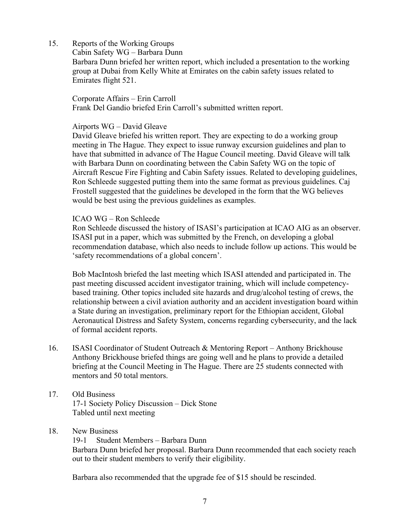15. Reports of the Working Groups

Cabin Safety WG – Barbara Dunn

Barbara Dunn briefed her written report, which included a presentation to the working group at Dubai from Kelly White at Emirates on the cabin safety issues related to Emirates flight 521.

Corporate Affairs – Erin Carroll Frank Del Gandio briefed Erin Carroll's submitted written report.

## Airports WG – David Gleave

David Gleave briefed his written report. They are expecting to do a working group meeting in The Hague. They expect to issue runway excursion guidelines and plan to have that submitted in advance of The Hague Council meeting. David Gleave will talk with Barbara Dunn on coordinating between the Cabin Safety WG on the topic of Aircraft Rescue Fire Fighting and Cabin Safety issues. Related to developing guidelines, Ron Schleede suggested putting them into the same format as previous guidelines. Caj Frostell suggested that the guidelines be developed in the form that the WG believes would be best using the previous guidelines as examples.

## ICAO WG – Ron Schleede

Ron Schleede discussed the history of ISASI's participation at ICAO AIG as an observer. ISASI put in a paper, which was submitted by the French, on developing a global recommendation database, which also needs to include follow up actions. This would be 'safety recommendations of a global concern'.

Bob MacIntosh briefed the last meeting which ISASI attended and participated in. The past meeting discussed accident investigator training, which will include competencybased training. Other topics included site hazards and drug/alcohol testing of crews, the relationship between a civil aviation authority and an accident investigation board within a State during an investigation, preliminary report for the Ethiopian accident, Global Aeronautical Distress and Safety System, concerns regarding cybersecurity, and the lack of formal accident reports.

- 16. ISASI Coordinator of Student Outreach & Mentoring Report Anthony Brickhouse Anthony Brickhouse briefed things are going well and he plans to provide a detailed briefing at the Council Meeting in The Hague. There are 25 students connected with mentors and 50 total mentors.
- 17. Old Business 17-1 Society Policy Discussion – Dick Stone Tabled until next meeting

# 18. New Business

19-1 Student Members – Barbara Dunn Barbara Dunn briefed her proposal. Barbara Dunn recommended that each society reach out to their student members to verify their eligibility.

Barbara also recommended that the upgrade fee of \$15 should be rescinded.